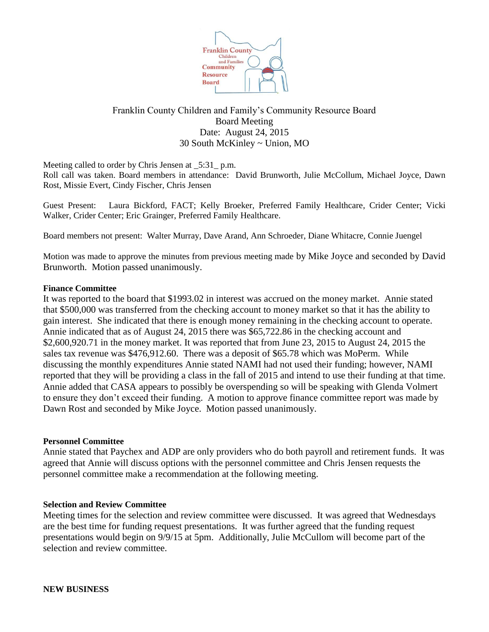

# Franklin County Children and Family's Community Resource Board Board Meeting Date: August 24, 2015 30 South McKinley ~ Union, MO

Meeting called to order by Chris Jensen at \_5:31\_ p.m.

Roll call was taken. Board members in attendance: David Brunworth, Julie McCollum, Michael Joyce, Dawn Rost, Missie Evert, Cindy Fischer, Chris Jensen

Guest Present: Laura Bickford, FACT; Kelly Broeker, Preferred Family Healthcare, Crider Center; Vicki Walker, Crider Center; Eric Grainger, Preferred Family Healthcare.

Board members not present: Walter Murray, Dave Arand, Ann Schroeder, Diane Whitacre, Connie Juengel

Motion was made to approve the minutes from previous meeting made by Mike Joyce and seconded by David Brunworth. Motion passed unanimously.

## **Finance Committee**

It was reported to the board that \$1993.02 in interest was accrued on the money market. Annie stated that \$500,000 was transferred from the checking account to money market so that it has the ability to gain interest. She indicated that there is enough money remaining in the checking account to operate. Annie indicated that as of August 24, 2015 there was \$65,722.86 in the checking account and \$2,600,920.71 in the money market. It was reported that from June 23, 2015 to August 24, 2015 the sales tax revenue was \$476,912.60. There was a deposit of \$65.78 which was MoPerm. While discussing the monthly expenditures Annie stated NAMI had not used their funding; however, NAMI reported that they will be providing a class in the fall of 2015 and intend to use their funding at that time. Annie added that CASA appears to possibly be overspending so will be speaking with Glenda Volmert to ensure they don't exceed their funding. A motion to approve finance committee report was made by Dawn Rost and seconded by Mike Joyce. Motion passed unanimously.

## **Personnel Committee**

Annie stated that Paychex and ADP are only providers who do both payroll and retirement funds. It was agreed that Annie will discuss options with the personnel committee and Chris Jensen requests the personnel committee make a recommendation at the following meeting.

## **Selection and Review Committee**

Meeting times for the selection and review committee were discussed. It was agreed that Wednesdays are the best time for funding request presentations. It was further agreed that the funding request presentations would begin on 9/9/15 at 5pm. Additionally, Julie McCullom will become part of the selection and review committee.